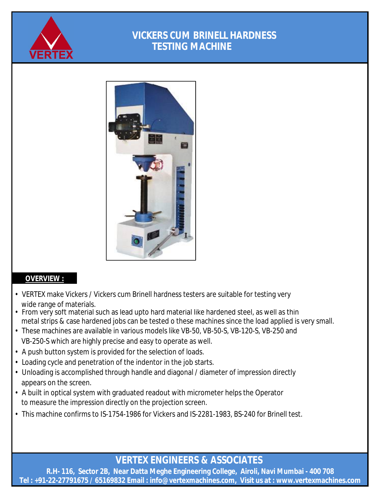

## **VICKERS CUM BRINELL HARDNESS TESTING MACHINE**



#### **OVERVIEW :**

- VERTEX make Vickers / Vickers cum Brinell hardness testers are suitable for testing very wide range of materials.
- From very soft material such as lead upto hard material like hardened steel, as well as thin metal strips & case hardened jobs can be tested o these machines since the load applied is very small.
- These machines are available in various models like VB-50, VB-50-S, VB-120-S, VB-250 and
- VB-250-S which are highly precise and easy to operate as well.
- A push button system is provided for the selection of loads.
- Loading cycle and penetration of the indentor in the job starts.
- Unloading is accomplished through handle and diagonal / diameter of impression directly appears on the screen.
- A built in optical system with graduated readout with micrometer helps the Operator to measure the impression directly on the projection screen.
- This machine confirms to IS-1754-1986 for Vickers and IS-2281-1983, BS-240 for Brinell test.

**VERTEX ENGINEERS & ASSOCIATES** 

**R.H- 116, Sector 2B, Near Datta Meghe Engineering College, Airoli, Navi Mumbai - 400 708 Tel : +91-22-27791675 / 65169832 Email : [info@vertexmachines.com,](mailto:info@vertexmachines.com,) Visit us at : [www.vertexmachines.com](http://www.vertexmachines.com)**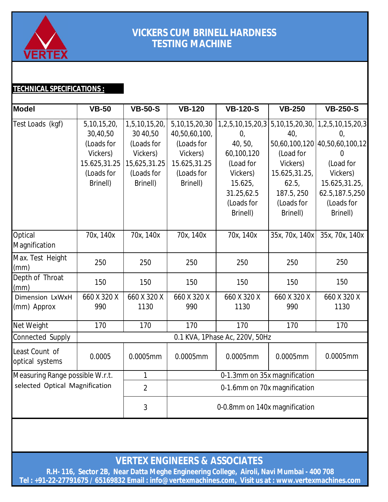

## **VICKERS CUM BRINELL HARDNESS TESTING MACHINE**

### **TECHNICAL SPECIFICATIONS :**

| <b>Model</b>                                                      | <b>VB-50</b>                                                                                   | <b>VB-50-S</b>                                                                                | <b>VB-120</b>                                                                                          | <b>VB-120-S</b>                                                                         | <b>VB-250</b>                                                        | <b>VB-250-S</b>                                                                                                                                                      |  |  |  |
|-------------------------------------------------------------------|------------------------------------------------------------------------------------------------|-----------------------------------------------------------------------------------------------|--------------------------------------------------------------------------------------------------------|-----------------------------------------------------------------------------------------|----------------------------------------------------------------------|----------------------------------------------------------------------------------------------------------------------------------------------------------------------|--|--|--|
| Test Loads (kgf)                                                  | 5, 10, 15, 20,<br>30,40,50<br>(Loads for<br>Vickers)<br>15.625,31.25<br>(Loads for<br>Brinell) | 1,5,10,15,20,<br>30 40,50<br>(Loads for<br>Vickers)<br>15,625,31.25<br>(Loads for<br>Brinell) | 5, 10, 15, 20, 30<br>40,50,60,100,<br>(Loads for<br>Vickers)<br>15.625,31.25<br>(Loads for<br>Brinell) | $\mathbf{0}$<br>40, 50,<br>60,100,120<br>(Load for<br>Vickers)<br>15.625,<br>31.25,62.5 | 40,<br>(Load for<br>Vickers)<br>15.625,31.25,<br>62.5,<br>187.5, 250 | 1,2,5,10,15,20,3 5,10,15,20,30, 1,2,5,10,15,20,3<br>$\overline{0}$<br>50,60,100,120 40,50,60,100,12<br>0<br>(Load for<br>Vickers)<br>15.625,31.25,<br>62.5,187.5,250 |  |  |  |
|                                                                   |                                                                                                |                                                                                               |                                                                                                        | (Loads for<br>Brinell)                                                                  | (Loads for<br>Brinell)                                               | (Loads for<br>Brinell)                                                                                                                                               |  |  |  |
| Optical<br>Magnification                                          | 70x, 140x                                                                                      | 70x, 140x                                                                                     | 70x, 140x                                                                                              | 70x, 140x                                                                               | 35x, 70x, 140x                                                       | 35x, 70x, 140x                                                                                                                                                       |  |  |  |
| Max. Test Height<br>(mm)                                          | 250                                                                                            | 250                                                                                           | 250                                                                                                    | 250                                                                                     | 250                                                                  | 250                                                                                                                                                                  |  |  |  |
| Depth of Throat<br>(mm)                                           | 150                                                                                            | 150                                                                                           | 150                                                                                                    | 150                                                                                     | 150                                                                  | 150                                                                                                                                                                  |  |  |  |
| Dimension LxWxH<br>(mm) Approx                                    | 660 X 320 X<br>990                                                                             | 660 X 320 X<br>1130                                                                           | 660 X 320 X<br>990                                                                                     | 660 X 320 X<br>1130                                                                     | 660 X 320 X<br>990                                                   | 660 X 320 X<br>1130                                                                                                                                                  |  |  |  |
| Net Weight                                                        | 170                                                                                            | 170                                                                                           | 170                                                                                                    | 170                                                                                     | 170                                                                  | 170                                                                                                                                                                  |  |  |  |
| Connected Supply                                                  |                                                                                                | 0.1 KVA, 1Phase Ac, 220V, 50Hz                                                                |                                                                                                        |                                                                                         |                                                                      |                                                                                                                                                                      |  |  |  |
| Least Count of<br>optical systems                                 | 0.0005                                                                                         | 0.0005mm                                                                                      | 0.0005mm                                                                                               | 0.0005mm                                                                                | 0.0005mm                                                             | 0.0005mm                                                                                                                                                             |  |  |  |
| Measuring Range possible W.r.t.<br>selected Optical Magnification |                                                                                                | $\mathbf{1}$                                                                                  | 0-1.3mm on 35x magnification                                                                           |                                                                                         |                                                                      |                                                                                                                                                                      |  |  |  |
|                                                                   |                                                                                                | $\overline{2}$                                                                                | 0-1.6mm on 70x magnification                                                                           |                                                                                         |                                                                      |                                                                                                                                                                      |  |  |  |
|                                                                   |                                                                                                | 3                                                                                             | 0-0.8mm on 140x magnification                                                                          |                                                                                         |                                                                      |                                                                                                                                                                      |  |  |  |

**VERTEX ENGINEERS & ASSOCIATES** 

**R.H- 116, Sector 2B, Near Datta Meghe Engineering College, Airoli, Navi Mumbai - 400 708 Tel : +91-22-27791675 / 65169832 Email : [info@vertexmachines.com,](mailto:info@vertexmachines.com,) Visit us at : [www.vertexmachines.com](http://www.vertexmachines.com)**